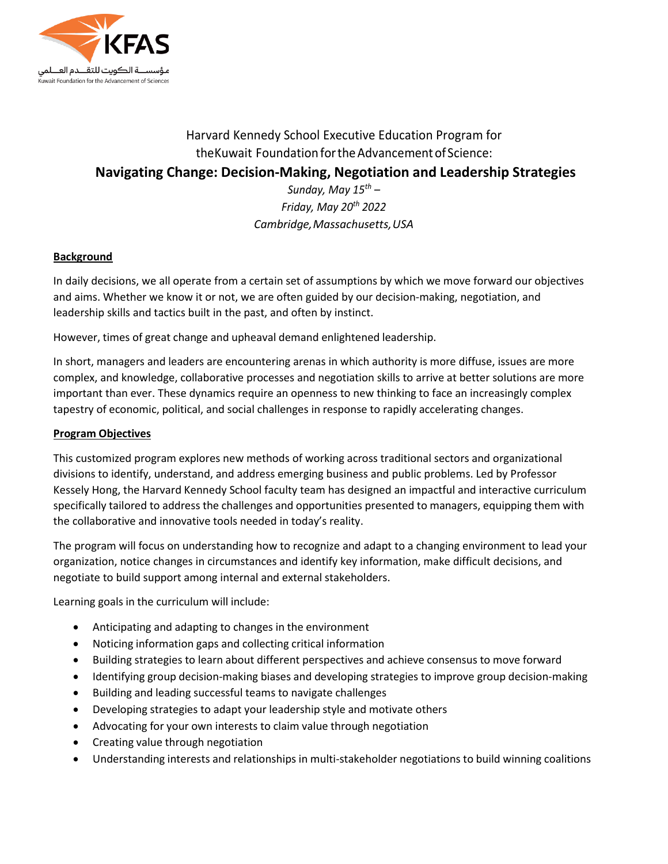

# Harvard Kennedy School Executive Education Program for the Kuwait Foundation for the Advancement of Science: **Navigating Change: Decision‐Making, Negotiation and Leadership Strategies** *Sunday, May 15th – Friday, May 20th 2022 Cambridge,Massachusetts,USA*

### **Background**

In daily decisions, we all operate from a certain set of assumptions by which we move forward our objectives and aims. Whether we know it or not, we are often guided by our decision-making, negotiation, and leadership skills and tactics built in the past, and often by instinct.

However, times of great change and upheaval demand enlightened leadership.

In short, managers and leaders are encountering arenas in which authority is more diffuse, issues are more complex, and knowledge, collaborative processes and negotiation skills to arrive at better solutions are more important than ever. These dynamics require an openness to new thinking to face an increasingly complex tapestry of economic, political, and social challenges in response to rapidly accelerating changes.

#### **Program Objectives**

This customized program explores new methods of working across traditional sectors and organizational divisions to identify, understand, and address emerging business and public problems. Led by Professor Kessely Hong, the Harvard Kennedy School faculty team has designed an impactful and interactive curriculum specifically tailored to address the challenges and opportunities presented to managers, equipping them with the collaborative and innovative tools needed in today's reality.

The program will focus on understanding how to recognize and adapt to a changing environment to lead your organization, notice changes in circumstances and identify key information, make difficult decisions, and negotiate to build support among internal and external stakeholders.

Learning goals in the curriculum will include:

- Anticipating and adapting to changes in the environment
- Noticing information gaps and collecting critical information
- Building strategies to learn about different perspectives and achieve consensus to move forward
- Identifying group decision-making biases and developing strategies to improve group decision-making
- Building and leading successful teams to navigate challenges
- Developing strategies to adapt your leadership style and motivate others
- Advocating for your own interests to claim value through negotiation
- Creating value through negotiation
- Understanding interests and relationships in multi-stakeholder negotiations to build winning coalitions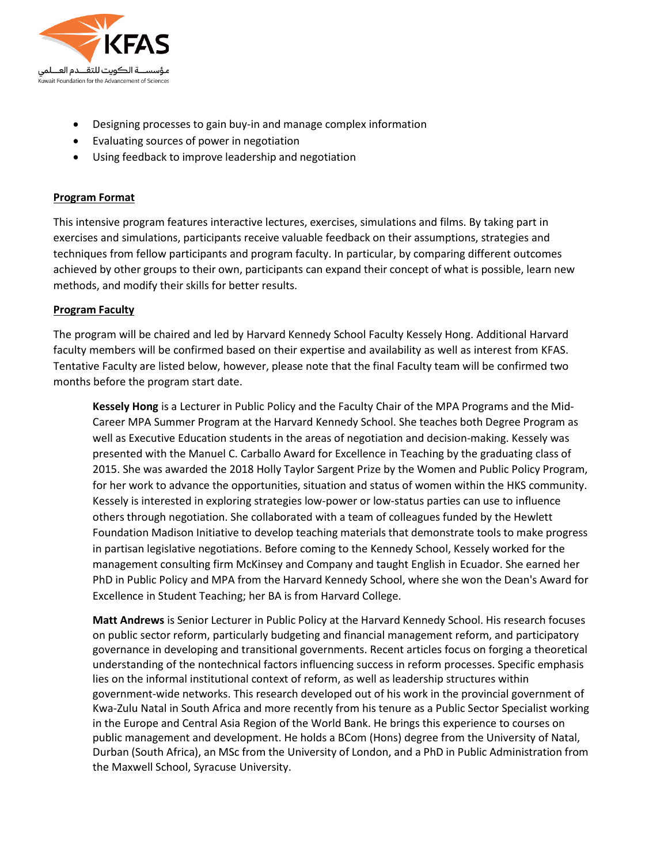

- Designing processes to gain buy‐in and manage complex information
- Evaluating sources of power in negotiation
- Using feedback to improve leadership and negotiation

#### **Program Format**

This intensive program features interactive lectures, exercises, simulations and films. By taking part in exercises and simulations, participants receive valuable feedback on their assumptions, strategies and techniques from fellow participants and program faculty. In particular, by comparing different outcomes achieved by other groups to their own, participants can expand their concept of what is possible, learn new methods, and modify their skills for better results.

#### **Program Faculty**

The program will be chaired and led by Harvard Kennedy School Faculty Kessely Hong. Additional Harvard faculty members will be confirmed based on their expertise and availability as well as interest from KFAS. Tentative Faculty are listed below, however, please note that the final Faculty team will be confirmed two months before the program start date.

**Kessely Hong** is a Lecturer in Public Policy and the Faculty Chair of the MPA Programs and the Mid‐ Career MPA Summer Program at the Harvard Kennedy School. She teaches both Degree Program as well as Executive Education students in the areas of negotiation and decision-making. Kessely was presented with the Manuel C. Carballo Award for Excellence in Teaching by the graduating class of 2015. She was awarded the 2018 Holly Taylor Sargent Prize by the Women and Public Policy Program, for her work to advance the opportunities, situation and status of women within the HKS community. Kessely is interested in exploring strategies low‐power or low‐status parties can use to influence others through negotiation. She collaborated with a team of colleagues funded by the Hewlett Foundation Madison Initiative to develop teaching materials that demonstrate tools to make progress in partisan legislative negotiations. Before coming to the Kennedy School, Kessely worked for the management consulting firm McKinsey and Company and taught English in Ecuador. She earned her PhD in Public Policy and MPA from the Harvard Kennedy School, where she won the Dean's Award for Excellence in Student Teaching; her BA is from Harvard College.

**Matt Andrews** is Senior Lecturer in Public Policy at the Harvard Kennedy School. His research focuses on public sector reform, particularly budgeting and financial management reform, and participatory governance in developing and transitional governments. Recent articles focus on forging a theoretical understanding of the nontechnical factors influencing success in reform processes. Specific emphasis lies on the informal institutional context of reform, as well as leadership structures within government‐wide networks. This research developed out of his work in the provincial government of Kwa‐Zulu Natal in South Africa and more recently from his tenure as a Public Sector Specialist working in the Europe and Central Asia Region of the World Bank. He brings this experience to courses on public management and development. He holds a BCom (Hons) degree from the University of Natal, Durban (South Africa), an MSc from the University of London, and a PhD in Public Administration from the Maxwell School, Syracuse University.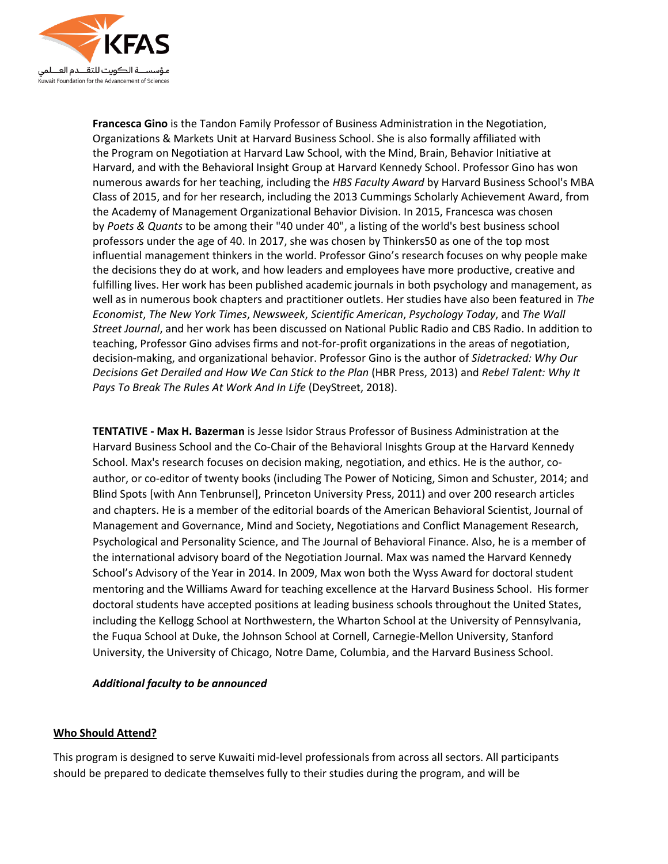

**Francesca Gino** is the Tandon Family Professor of Business Administration in the Negotiation, Organizations & Markets Unit at Harvard Business School. She is also formally affiliated with the Program on Negotiation at Harvard Law School, with the Mind, Brain, Behavior Initiative at Harvard, and with the Behavioral Insight Group at Harvard Kennedy School. Professor Gino has won numerous awards for her teaching, including the *HBS Faculty Award* by Harvard Business School's MBA Class of 2015, and for her research, including the 2013 Cummings Scholarly Achievement Award, from the Academy of Management Organizational Behavior Division. In 2015, Francesca was chosen by *Poets & Quants* to be among their "40 under 40", a listing of the world's best business school professors under the age of 40. In 2017, she was chosen by Thinkers50 as one of the top most influential management thinkers in the world. Professor Gino's research focuses on why people make the decisions they do at work, and how leaders and employees have more productive, creative and fulfilling lives. Her work has been published academic journals in both psychology and management, as well as in numerous book chapters and practitioner outlets. Her studies have also been featured in *The Economist*, *The New York Times*, *Newsweek*, *Scientific American*, *Psychology Today*, and *The Wall Street Journal*, and her work has been discussed on National Public Radio and CBS Radio. In addition to teaching, Professor Gino advises firms and not-for-profit organizations in the areas of negotiation, decision‐making, and organizational behavior. Professor Gino is the author of *Sidetracked: Why Our Decisions Get Derailed and How We Can Stick to the Plan* (HBR Press, 2013) and *Rebel Talent: Why It Pays To Break The Rules At Work And In Life* (DeyStreet, 2018).

**TENTATIVE ‐ Max H. Bazerman** is Jesse Isidor Straus Professor of Business Administration at the Harvard Business School and the Co‐Chair of the Behavioral Inisghts Group at the Harvard Kennedy School. Max's research focuses on decision making, negotiation, and ethics. He is the author, co‐ author, or co-editor of twenty books (including The Power of Noticing, Simon and Schuster, 2014; and Blind Spots [with Ann Tenbrunsel], Princeton University Press, 2011) and over 200 research articles and chapters. He is a member of the editorial boards of the American Behavioral Scientist, Journal of Management and Governance, Mind and Society, Negotiations and Conflict Management Research, Psychological and Personality Science, and The Journal of Behavioral Finance. Also, he is a member of the international advisory board of the Negotiation Journal. Max was named the Harvard Kennedy School's Advisory of the Year in 2014. In 2009, Max won both the Wyss Award for doctoral student mentoring and the Williams Award for teaching excellence at the Harvard Business School. His former doctoral students have accepted positions at leading business schools throughout the United States, including the Kellogg School at Northwestern, the Wharton School at the University of Pennsylvania, the Fuqua School at Duke, the Johnson School at Cornell, Carnegie‐Mellon University, Stanford University, the University of Chicago, Notre Dame, Columbia, and the Harvard Business School.

#### *Additional faculty to be announced*

#### **Who Should Attend?**

This program is designed to serve Kuwaiti mid‐level professionals from across all sectors. All participants should be prepared to dedicate themselves fully to their studies during the program, and will be